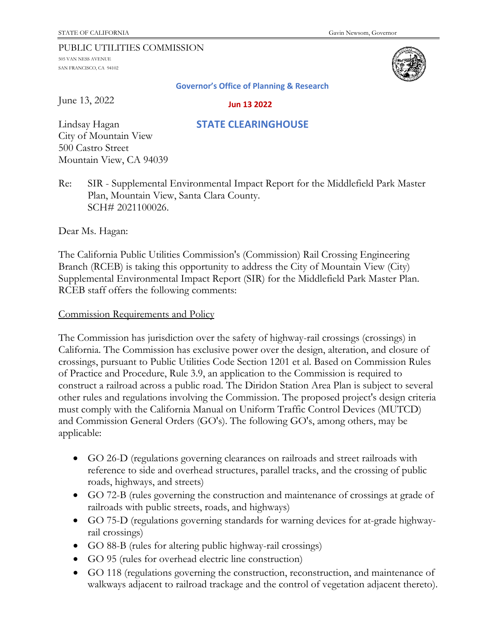#### PUBLIC UTILITIES COMMISSION

505 VAN NESS AVENUE SAN FRANCISCO, CA 94102



#### **Governor's Office of Planning & Research**

June 13, 2022

 **Jun 13 2022**

 **STATE CLEARINGHOUSE**

## Lindsay Hagan City of Mountain View 500 Castro Street Mountain View, CA 94039

# Re: SIR - Supplemental Environmental Impact Report for the Middlefield Park Master Plan, Mountain View, Santa Clara County. SCH# 2021100026.

Dear Ms. Hagan:

The California Public Utilities Commission's (Commission) Rail Crossing Engineering Branch (RCEB) is taking this opportunity to address the City of Mountain View (City) Supplemental Environmental Impact Report (SIR) for the Middlefield Park Master Plan. RCEB staff offers the following comments:

### Commission Requirements and Policy

The Commission has jurisdiction over the safety of highway-rail crossings (crossings) in California. The Commission has exclusive power over the design, alteration, and closure of crossings, pursuant to Public Utilities Code Section 1201 et al. Based on Commission Rules of Practice and Procedure, Rule 3.9, an application to the Commission is required to construct a railroad across a public road. The Diridon Station Area Plan is subject to several other rules and regulations involving the Commission. The proposed project's design criteria must comply with the California Manual on Uniform Traffic Control Devices (MUTCD) and Commission General Orders (GO's). The following GO's, among others, may be applicable:

- GO 26-D (regulations governing clearances on railroads and street railroads with reference to side and overhead structures, parallel tracks, and the crossing of public roads, highways, and streets)
- GO 72-B (rules governing the construction and maintenance of crossings at grade of railroads with public streets, roads, and highways)
- GO 75-D (regulations governing standards for warning devices for at-grade highwayrail crossings)
- GO 88-B (rules for altering public highway-rail crossings)
- GO 95 (rules for overhead electric line construction)
- GO 118 (regulations governing the construction, reconstruction, and maintenance of walkways adjacent to railroad trackage and the control of vegetation adjacent thereto).